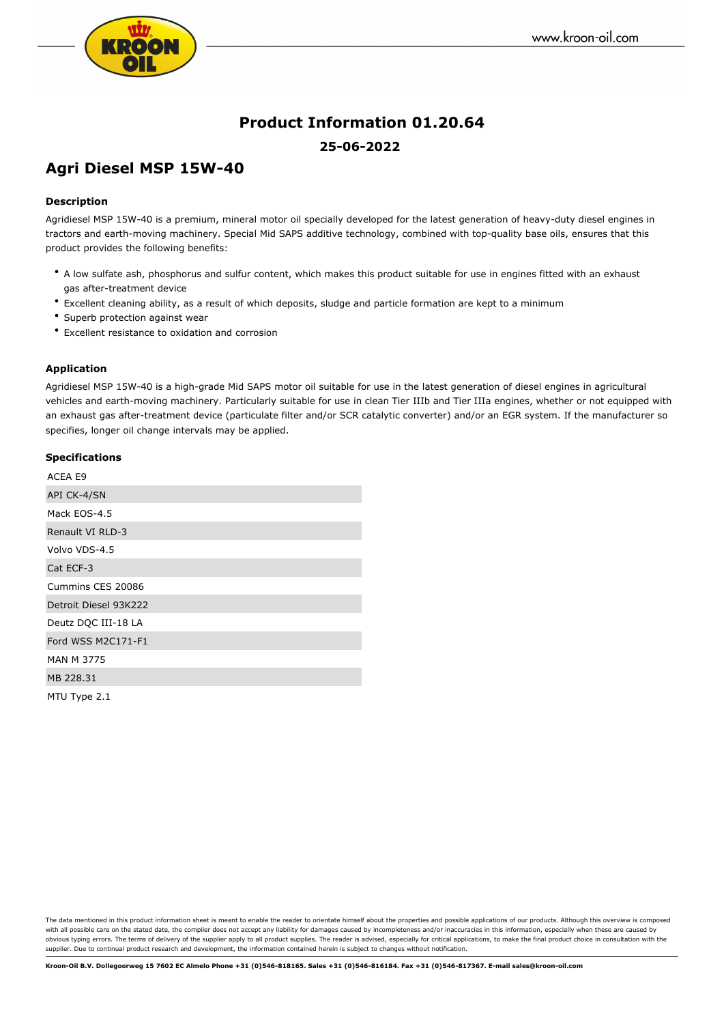

# **Product Information 01.20.64 25-06-2022**

## **Agri Diesel MSP 15W-40**

#### **Description**

Agridiesel MSP 15W-40 is a premium, mineral motor oil specially developed for the latest generation of heavy-duty diesel engines in tractors and earth-moving machinery. Special Mid SAPS additive technology, combined with top-quality base oils, ensures that this product provides the following benefits:

- A low sulfate ash, phosphorus and sulfur content, which makes this product suitable for use in engines fitted with an exhaust gas after-treatment device
- Excellent cleaning ability, as a result of which deposits, sludge and particle formation are kept to a minimum
- Superb protection against wear
- Excellent resistance to oxidation and corrosion

#### **Application**

Agridiesel MSP 15W-40 is a high-grade Mid SAPS motor oil suitable for use in the latest generation of diesel engines in agricultural vehicles and earth-moving machinery. Particularly suitable for use in clean Tier IIIb and Tier IIIa engines, whether or not equipped with an exhaust gas after-treatment device (particulate filter and/or SCR catalytic converter) and/or an EGR system. If the manufacturer so specifies, longer oil change intervals may be applied.

#### **Specifications**

| ACEA E9               |
|-----------------------|
| API CK-4/SN           |
| Mack EOS-4.5          |
| Renault VI RLD-3      |
| Volvo VDS-4.5         |
| Cat ECF-3             |
| Cummins CES 20086     |
| Detroit Diesel 93K222 |
| Deutz DQC III-18 LA   |
| Ford WSS M2C171-F1    |
| <b>MAN M 3775</b>     |
| MB 228.31             |
| MTU Type 2.1          |

The data mentioned in this product information sheet is meant to enable the reader to orientate himself about the properties and possible applications of our products. Although this overview is composed with all possible care on the stated date, the compiler does not accept any liability for damages caused by incompleteness and/or inaccuracies in this information, especially when these are caused by obvious typing errors. The terms of delivery of the supplier apply to all product supplies. The reader is advised, especially for critical applications, to make the final product choice in consultation with the supplier. Due to continual product research and development, the information contained herein is subject to changes without notification.